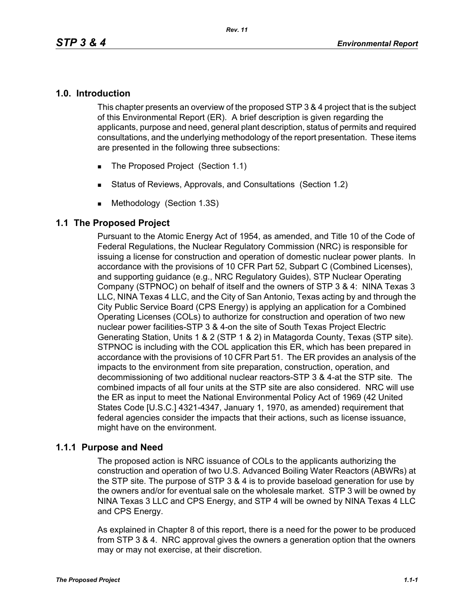#### **1.0. Introduction**

This chapter presents an overview of the proposed STP 3 & 4 project that is the subject of this Environmental Report (ER). A brief description is given regarding the applicants, purpose and need, general plant description, status of permits and required consultations, and the underlying methodology of the report presentation. These items are presented in the following three subsections:

- The Proposed Project (Section 1.1)
- Status of Reviews, Approvals, and Consultations (Section 1.2)
- **Methodology (Section 1.3S)**

### **1.1 The Proposed Project**

Pursuant to the Atomic Energy Act of 1954, as amended, and Title 10 of the Code of Federal Regulations, the Nuclear Regulatory Commission (NRC) is responsible for issuing a license for construction and operation of domestic nuclear power plants. In accordance with the provisions of 10 CFR Part 52, Subpart C (Combined Licenses), and supporting guidance (e.g., NRC Regulatory Guides), STP Nuclear Operating Company (STPNOC) on behalf of itself and the owners of STP 3 & 4: NINA Texas 3 LLC, NINA Texas 4 LLC, and the City of San Antonio, Texas acting by and through the City Public Service Board (CPS Energy) is applying an application for a Combined Operating Licenses (COLs) to authorize for construction and operation of two new nuclear power facilities-STP 3 & 4-on the site of South Texas Project Electric Generating Station, Units 1 & 2 (STP 1 & 2) in Matagorda County, Texas (STP site). STPNOC is including with the COL application this ER, which has been prepared in accordance with the provisions of 10 CFR Part 51. The ER provides an analysis of the impacts to the environment from site preparation, construction, operation, and decommissioning of two additional nuclear reactors-STP 3 & 4-at the STP site. The combined impacts of all four units at the STP site are also considered. NRC will use the ER as input to meet the National Environmental Policy Act of 1969 (42 United States Code [U.S.C.] 4321-4347, January 1, 1970, as amended) requirement that federal agencies consider the impacts that their actions, such as license issuance, might have on the environment.

### **1.1.1 Purpose and Need**

The proposed action is NRC issuance of COLs to the applicants authorizing the construction and operation of two U.S. Advanced Boiling Water Reactors (ABWRs) at the STP site. The purpose of STP 3 & 4 is to provide baseload generation for use by the owners and/or for eventual sale on the wholesale market. STP 3 will be owned by NINA Texas 3 LLC and CPS Energy, and STP 4 will be owned by NINA Texas 4 LLC and CPS Energy.

As explained in Chapter 8 of this report, there is a need for the power to be produced from STP 3 & 4. NRC approval gives the owners a generation option that the owners may or may not exercise, at their discretion.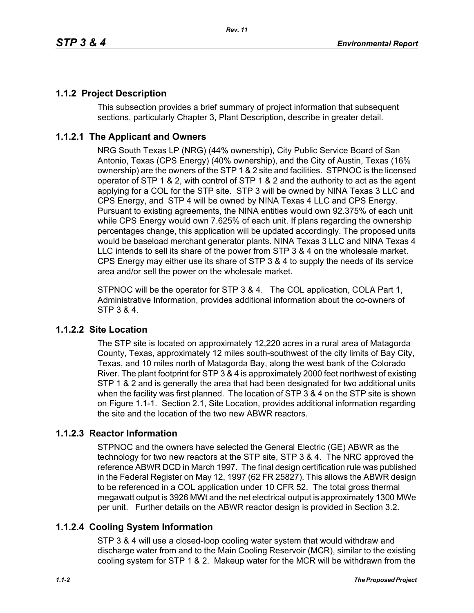# **1.1.2 Project Description**

This subsection provides a brief summary of project information that subsequent sections, particularly Chapter 3, Plant Description, describe in greater detail.

### **1.1.2.1 The Applicant and Owners**

NRG South Texas LP (NRG) (44% ownership), City Public Service Board of San Antonio, Texas (CPS Energy) (40% ownership), and the City of Austin, Texas (16% ownership) are the owners of the STP 1 & 2 site and facilities. STPNOC is the licensed operator of STP 1 & 2, with control of STP 1 & 2 and the authority to act as the agent applying for a COL for the STP site. STP 3 will be owned by NINA Texas 3 LLC and CPS Energy, and STP 4 will be owned by NINA Texas 4 LLC and CPS Energy. Pursuant to existing agreements, the NINA entities would own 92.375% of each unit while CPS Energy would own 7.625% of each unit. If plans regarding the ownership percentages change, this application will be updated accordingly. The proposed units would be baseload merchant generator plants. NINA Texas 3 LLC and NINA Texas 4 LLC intends to sell its share of the power from STP 3 & 4 on the wholesale market. CPS Energy may either use its share of STP 3 & 4 to supply the needs of its service area and/or sell the power on the wholesale market.

STPNOC will be the operator for STP 3 & 4. The COL application, COLA Part 1, Administrative Information, provides additional information about the co-owners of STP 3 & 4.

### **1.1.2.2 Site Location**

The STP site is located on approximately 12,220 acres in a rural area of Matagorda County, Texas, approximately 12 miles south-southwest of the city limits of Bay City, Texas, and 10 miles north of Matagorda Bay, along the west bank of the Colorado River. The plant footprint for STP 3 & 4 is approximately 2000 feet northwest of existing STP 1 & 2 and is generally the area that had been designated for two additional units when the facility was first planned. The location of STP 3 & 4 on the STP site is shown on Figure 1.1-1. Section 2.1, Site Location, provides additional information regarding the site and the location of the two new ABWR reactors.

### **1.1.2.3 Reactor Information**

STPNOC and the owners have selected the General Electric (GE) ABWR as the technology for two new reactors at the STP site, STP 3 & 4. The NRC approved the reference ABWR DCD in March 1997. The final design certification rule was published in the Federal Register on May 12, 1997 (62 FR 25827). This allows the ABWR design to be referenced in a COL application under 10 CFR 52. The total gross thermal megawatt output is 3926 MWt and the net electrical output is approximately 1300 MWe per unit. Further details on the ABWR reactor design is provided in Section 3.2.

# **1.1.2.4 Cooling System Information**

STP 3 & 4 will use a closed-loop cooling water system that would withdraw and discharge water from and to the Main Cooling Reservoir (MCR), similar to the existing cooling system for STP 1 & 2. Makeup water for the MCR will be withdrawn from the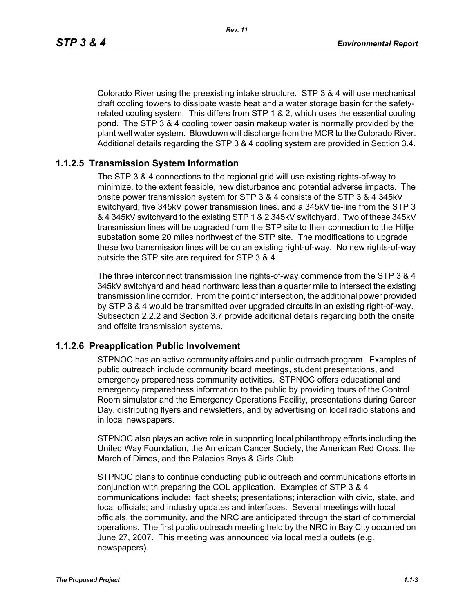Colorado River using the preexisting intake structure. STP 3 & 4 will use mechanical draft cooling towers to dissipate waste heat and a water storage basin for the safetyrelated cooling system. This differs from STP 1 & 2, which uses the essential cooling pond. The STP 3 & 4 cooling tower basin makeup water is normally provided by the plant well water system. Blowdown will discharge from the MCR to the Colorado River. Additional details regarding the STP 3 & 4 cooling system are provided in Section 3.4.

### **1.1.2.5 Transmission System Information**

The STP 3 & 4 connections to the regional grid will use existing rights-of-way to minimize, to the extent feasible, new disturbance and potential adverse impacts. The onsite power transmission system for STP 3 & 4 consists of the STP 3 & 4 345kV switchyard, five 345kV power transmission lines, and a 345kV tie-line from the STP 3 & 4 345kV switchyard to the existing STP 1 & 2 345kV switchyard. Two of these 345kV transmission lines will be upgraded from the STP site to their connection to the Hillje substation some 20 miles northwest of the STP site. The modifications to upgrade these two transmission lines will be on an existing right-of-way. No new rights-of-way outside the STP site are required for STP 3 & 4.

The three interconnect transmission line rights-of-way commence from the STP 3 & 4 345kV switchyard and head northward less than a quarter mile to intersect the existing transmission line corridor. From the point of intersection, the additional power provided by STP 3 & 4 would be transmitted over upgraded circuits in an existing right-of-way. Subsection 2.2.2 and Section 3.7 provide additional details regarding both the onsite and offsite transmission systems.

### **1.1.2.6 Preapplication Public Involvement**

STPNOC has an active community affairs and public outreach program. Examples of public outreach include community board meetings, student presentations, and emergency preparedness community activities. STPNOC offers educational and emergency preparedness information to the public by providing tours of the Control Room simulator and the Emergency Operations Facility, presentations during Career Day, distributing flyers and newsletters, and by advertising on local radio stations and in local newspapers.

STPNOC also plays an active role in supporting local philanthropy efforts including the United Way Foundation, the American Cancer Society, the American Red Cross, the March of Dimes, and the Palacios Boys & Girls Club.

STPNOC plans to continue conducting public outreach and communications efforts in conjunction with preparing the COL application. Examples of STP 3 & 4 communications include: fact sheets; presentations; interaction with civic, state, and local officials; and industry updates and interfaces. Several meetings with local officials, the community, and the NRC are anticipated through the start of commercial operations. The first public outreach meeting held by the NRC in Bay City occurred on June 27, 2007. This meeting was announced via local media outlets (e.g. newspapers).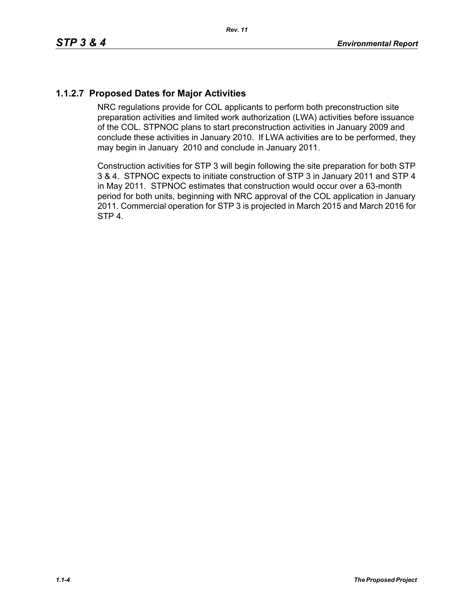# **1.1.2.7 Proposed Dates for Major Activities**

NRC regulations provide for COL applicants to perform both preconstruction site preparation activities and limited work authorization (LWA) activities before issuance of the COL. STPNOC plans to start preconstruction activities in January 2009 and conclude these activities in January 2010. If LWA activities are to be performed, they may begin in January 2010 and conclude in January 2011.

Construction activities for STP 3 will begin following the site preparation for both STP 3 & 4. STPNOC expects to initiate construction of STP 3 in January 2011 and STP 4 in May 2011. STPNOC estimates that construction would occur over a 63-month period for both units, beginning with NRC approval of the COL application in January 2011. Commercial operation for STP 3 is projected in March 2015 and March 2016 for STP 4.